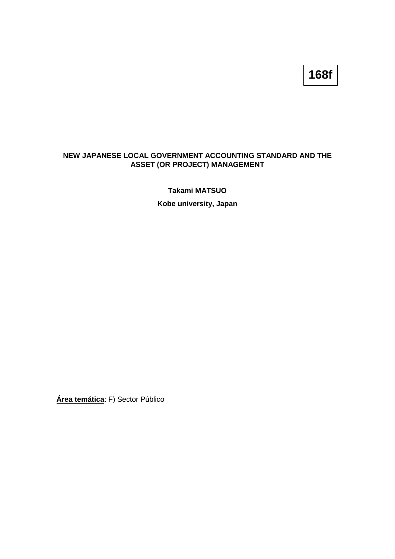## **168f**

## **NEW JAPANESE LOCAL GOVERNMENT ACCOUNTING STANDARD AND THE ASSET (OR PROJECT) MANAGEMENT**

**Takami MATSUO Kobe university, Japan**

**Área temática**: F) Sector Público